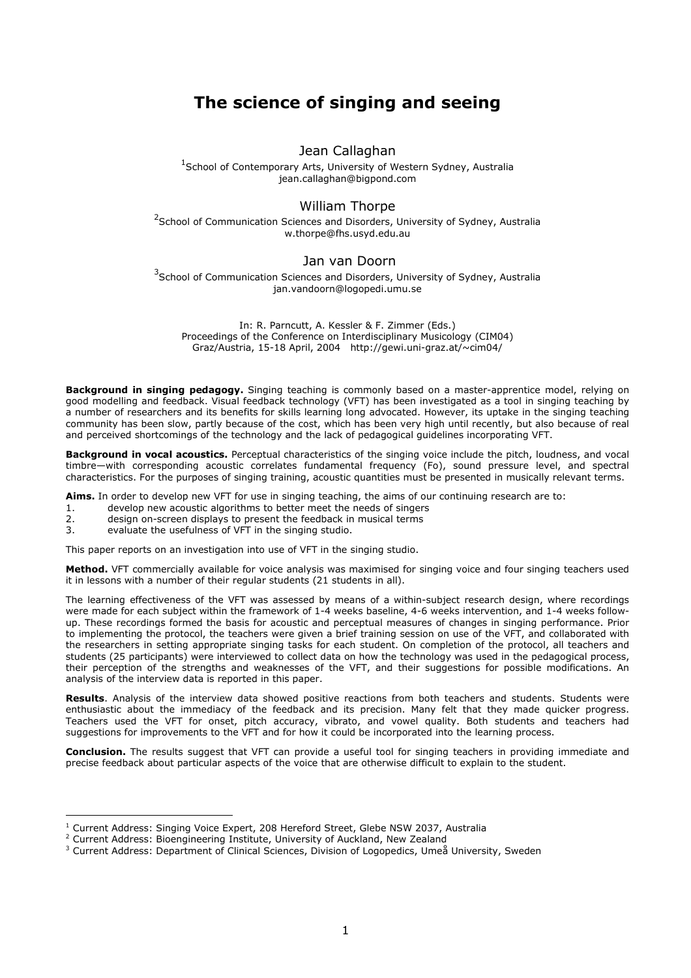# The science of singing and seeing

## Jean Callaghan

<sup>1</sup>School of Contemporary Arts, University of Western Sydney, Australia jean.callaghan@bigpond.com

## William Thorpe

<sup>2</sup> School of Communication Sciences and Disorders, University of Sydney, Australia w.thorpe@fhs.usyd.edu.au

### Jan van Doorn

<sup>3</sup>School of Communication Sciences and Disorders, University of Sydney, Australia jan.vandoorn@logopedi.umu.se

In: R. Parncutt, A. Kessler & F. Zimmer (Eds.) Proceedings of the Conference on Interdisciplinary Musicology (CIM04) Graz/Austria, 15-18 April, 2004 http://gewi.uni-graz.at/~cim04/

Background in singing pedagogy. Singing teaching is commonly based on a master-apprentice model, relying on good modelling and feedback. Visual feedback technology (VFT) has been investigated as a tool in singing teaching by a number of researchers and its benefits for skills learning long advocated. However, its uptake in the singing teaching community has been slow, partly because of the cost, which has been very high until recently, but also because of real and perceived shortcomings of the technology and the lack of pedagogical guidelines incorporating VFT.

Background in vocal acoustics. Perceptual characteristics of the singing voice include the pitch, loudness, and vocal timbre—with corresponding acoustic correlates fundamental frequency (Fo), sound pressure level, and spectral characteristics. For the purposes of singing training, acoustic quantities must be presented in musically relevant terms.

Aims. In order to develop new VFT for use in singing teaching, the aims of our continuing research are to:

- 1. develop new acoustic algorithms to better meet the needs of singers<br>2. design on-screen displays to present the feedback in musical terms
- design on-screen displays to present the feedback in musical terms
- 3. evaluate the usefulness of VFT in the singing studio.

This paper reports on an investigation into use of VFT in the singing studio.

Method. VFT commercially available for voice analysis was maximised for singing voice and four singing teachers used it in lessons with a number of their regular students (21 students in all).

The learning effectiveness of the VFT was assessed by means of a within-subject research design, where recordings were made for each subject within the framework of 1-4 weeks baseline, 4-6 weeks intervention, and 1-4 weeks followup. These recordings formed the basis for acoustic and perceptual measures of changes in singing performance. Prior to implementing the protocol, the teachers were given a brief training session on use of the VFT, and collaborated with the researchers in setting appropriate singing tasks for each student. On completion of the protocol, all teachers and students (25 participants) were interviewed to collect data on how the technology was used in the pedagogical process, their perception of the strengths and weaknesses of the VFT, and their suggestions for possible modifications. An analysis of the interview data is reported in this paper.

Results. Analysis of the interview data showed positive reactions from both teachers and students. Students were enthusiastic about the immediacy of the feedback and its precision. Many felt that they made quicker progress. Teachers used the VFT for onset, pitch accuracy, vibrato, and vowel quality. Both students and teachers had suggestions for improvements to the VFT and for how it could be incorporated into the learning process.

Conclusion. The results suggest that VFT can provide a useful tool for singing teachers in providing immediate and precise feedback about particular aspects of the voice that are otherwise difficult to explain to the student.

 $\overline{a}$ 

<sup>&</sup>lt;sup>1</sup> Current Address: Singing Voice Expert, 208 Hereford Street, Glebe NSW 2037, Australia

<sup>&</sup>lt;sup>2</sup> Current Address: Bioengineering Institute, University of Auckland, New Zealand

 $^3$  Current Address: Department of Clinical Sciences, Division of Logopedics, Umeå University, Sweden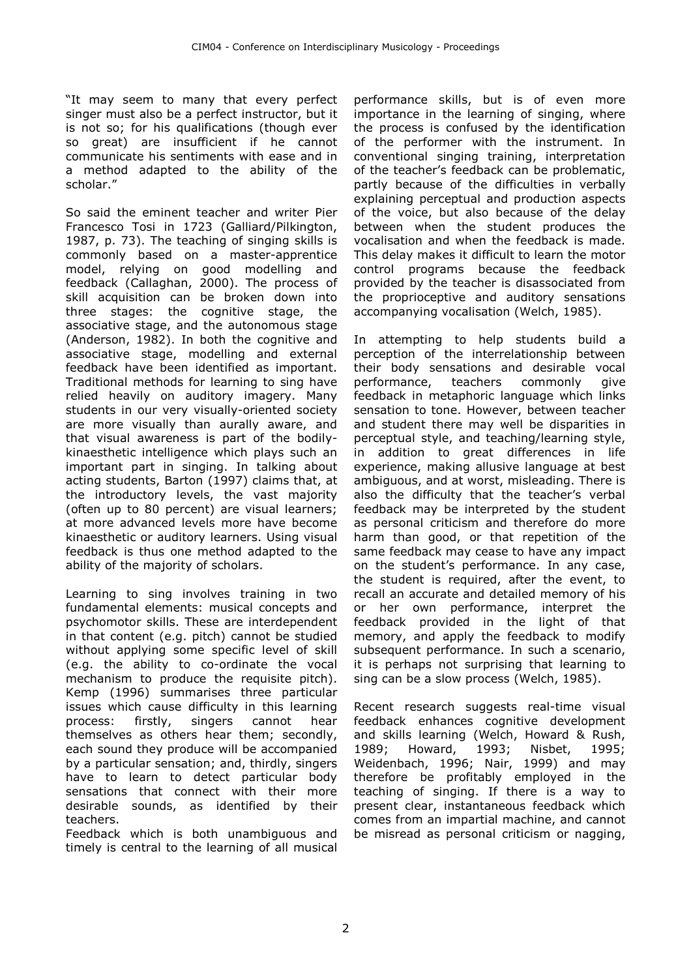"It may seem to many that every perfect singer must also be a perfect instructor, but it is not so; for his qualifications (though ever so great) are insufficient if he cannot communicate his sentiments with ease and in a method adapted to the ability of the scholar."

So said the eminent teacher and writer Pier Francesco Tosi in 1723 (Galliard/Pilkington, 1987, p. 73). The teaching of singing skills is commonly based on a master-apprentice model, relying on good modelling and feedback (Callaghan, 2000). The process of skill acquisition can be broken down into three stages: the cognitive stage, the associative stage, and the autonomous stage (Anderson, 1982). In both the cognitive and associative stage, modelling and external feedback have been identified as important. Traditional methods for learning to sing have relied heavily on auditory imagery. Many students in our very visually-oriented society are more visually than aurally aware, and that visual awareness is part of the bodilykinaesthetic intelligence which plays such an important part in singing. In talking about acting students, Barton (1997) claims that, at the introductory levels, the vast majority (often up to 80 percent) are visual learners; at more advanced levels more have become kinaesthetic or auditory learners. Using visual feedback is thus one method adapted to the ability of the majority of scholars.

Learning to sing involves training in two fundamental elements: musical concepts and psychomotor skills. These are interdependent in that content (e.g. pitch) cannot be studied without applying some specific level of skill (e.g. the ability to co-ordinate the vocal mechanism to produce the requisite pitch). Kemp (1996) summarises three particular issues which cause difficulty in this learning process: firstly, singers cannot hear themselves as others hear them; secondly, each sound they produce will be accompanied by a particular sensation; and, thirdly, singers have to learn to detect particular body sensations that connect with their more desirable sounds, as identified by their teachers.

Feedback which is both unambiguous and timely is central to the learning of all musical

performance skills, but is of even more importance in the learning of singing, where the process is confused by the identification of the performer with the instrument. In conventional singing training, interpretation of the teacher's feedback can be problematic, partly because of the difficulties in verbally explaining perceptual and production aspects of the voice, but also because of the delay between when the student produces the vocalisation and when the feedback is made. This delay makes it difficult to learn the motor control programs because the feedback provided by the teacher is disassociated from the proprioceptive and auditory sensations accompanying vocalisation (Welch, 1985).

In attempting to help students build a perception of the interrelationship between their body sensations and desirable vocal performance, teachers commonly give feedback in metaphoric language which links sensation to tone. However, between teacher and student there may well be disparities in perceptual style, and teaching/learning style, in addition to great differences in life experience, making allusive language at best ambiguous, and at worst, misleading. There is also the difficulty that the teacher's verbal feedback may be interpreted by the student as personal criticism and therefore do more harm than good, or that repetition of the same feedback may cease to have any impact on the student's performance. In any case, the student is required, after the event, to recall an accurate and detailed memory of his or her own performance, interpret the feedback provided in the light of that memory, and apply the feedback to modify subsequent performance. In such a scenario, it is perhaps not surprising that learning to sing can be a slow process (Welch, 1985).

Recent research suggests real-time visual feedback enhances cognitive development and skills learning (Welch, Howard & Rush, 1989; Howard, 1993; Nisbet, 1995; Weidenbach, 1996; Nair, 1999) and may therefore be profitably employed in the teaching of singing. If there is a way to present clear, instantaneous feedback which comes from an impartial machine, and cannot be misread as personal criticism or nagging,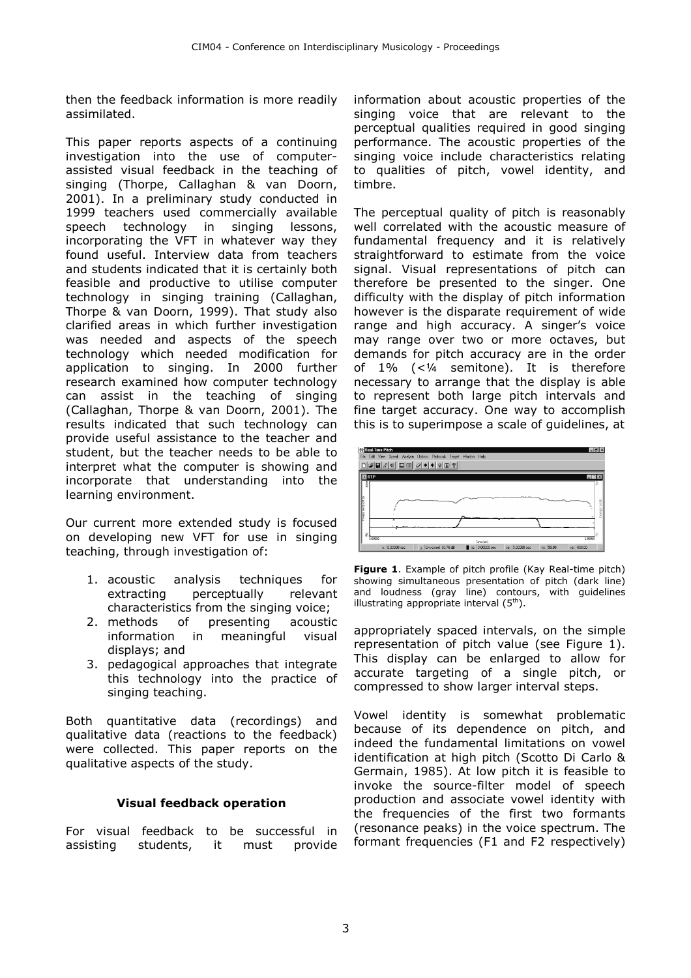then the feedback information is more readily assimilated.

This paper reports aspects of a continuing investigation into the use of computerassisted visual feedback in the teaching of singing (Thorpe, Callaghan & van Doorn, 2001). In a preliminary study conducted in 1999 teachers used commercially available speech technology in singing lessons, incorporating the VFT in whatever way they found useful. Interview data from teachers and students indicated that it is certainly both feasible and productive to utilise computer technology in singing training (Callaghan, Thorpe & van Doorn, 1999). That study also clarified areas in which further investigation was needed and aspects of the speech technology which needed modification for application to singing. In 2000 further research examined how computer technology can assist in the teaching of singing (Callaghan, Thorpe & van Doorn, 2001). The results indicated that such technology can provide useful assistance to the teacher and student, but the teacher needs to be able to interpret what the computer is showing and incorporate that understanding into the learning environment.

Our current more extended study is focused on developing new VFT for use in singing teaching, through investigation of:

- 1. acoustic analysis techniques for extracting perceptually relevant characteristics from the singing voice;
- 2. methods of presenting acoustic information in meaningful visual displays; and
- 3. pedagogical approaches that integrate this technology into the practice of singing teaching.

Both quantitative data (recordings) and qualitative data (reactions to the feedback) were collected. This paper reports on the qualitative aspects of the study.

## Visual feedback operation

For visual feedback to be successful in assisting students, it must provide

information about acoustic properties of the singing voice that are relevant to the perceptual qualities required in good singing performance. The acoustic properties of the singing voice include characteristics relating to qualities of pitch, vowel identity, and timbre.

The perceptual quality of pitch is reasonably well correlated with the acoustic measure of fundamental frequency and it is relatively straightforward to estimate from the voice signal. Visual representations of pitch can therefore be presented to the singer. One difficulty with the display of pitch information however is the disparate requirement of wide range and high accuracy. A singer's voice may range over two or more octaves, but demands for pitch accuracy are in the order of 1% (<¼ semitone). It is therefore necessary to arrange that the display is able to represent both large pitch intervals and fine target accuracy. One way to accomplish this is to superimpose a scale of guidelines, at



Figure 1. Example of pitch profile (Kay Real-time pitch) showing simultaneous presentation of pitch (dark line) and loudness (gray line) contours, with guidelines illustrating appropriate interval  $(5<sup>th</sup>)$ .

appropriately spaced intervals, on the simple representation of pitch value (see Figure 1). This display can be enlarged to allow for accurate targeting of a single pitch, or compressed to show larger interval steps.

Vowel identity is somewhat problematic because of its dependence on pitch, and indeed the fundamental limitations on vowel identification at high pitch (Scotto Di Carlo & Germain, 1985). At low pitch it is feasible to invoke the source-filter model of speech production and associate vowel identity with the frequencies of the first two formants (resonance peaks) in the voice spectrum. The formant frequencies (F1 and F2 respectively)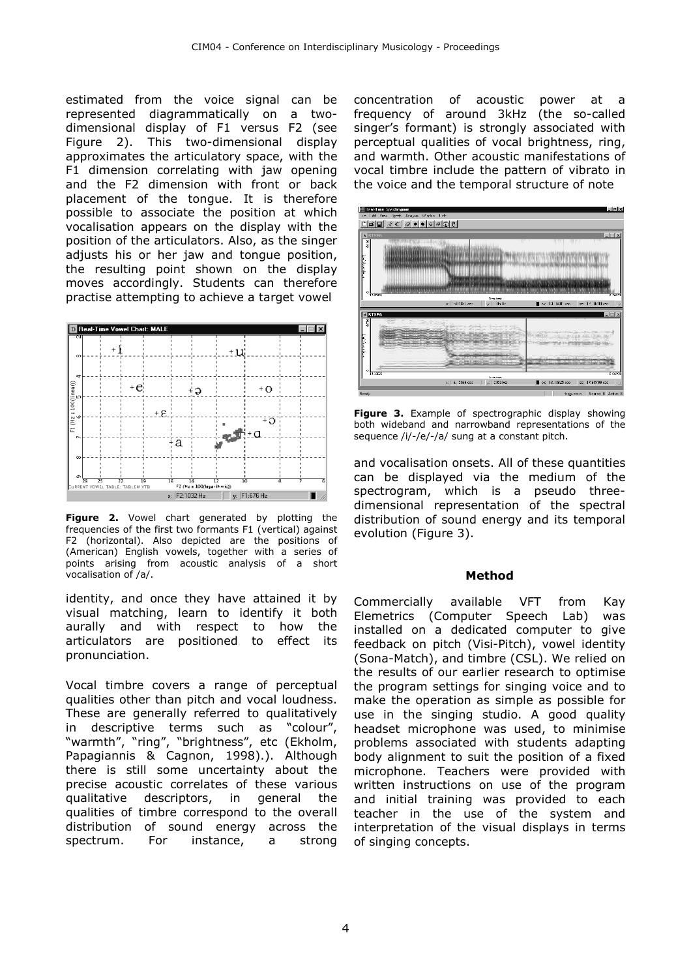estimated from the voice signal can be represented diagrammatically on a twodimensional display of F1 versus F2 (see Figure 2). This two-dimensional display approximates the articulatory space, with the F1 dimension correlating with jaw opening and the F2 dimension with front or back placement of the tongue. It is therefore possible to associate the position at which vocalisation appears on the display with the position of the articulators. Also, as the singer adjusts his or her jaw and tongue position, the resulting point shown on the display moves accordingly. Students can therefore practise attempting to achieve a target vowel



Figure 2. Vowel chart generated by plotting the frequencies of the first two formants F1 (vertical) against F2 (horizontal). Also depicted are the positions of (American) English vowels, together with a series of points arising from acoustic analysis of a short vocalisation of /a/.

identity, and once they have attained it by visual matching, learn to identify it both aurally and with respect to how the articulators are positioned to effect its pronunciation.

Vocal timbre covers a range of perceptual qualities other than pitch and vocal loudness. These are generally referred to qualitatively in descriptive terms such as "colour", "warmth", "ring", "brightness", etc (Ekholm, Papagiannis & Cagnon, 1998).). Although there is still some uncertainty about the precise acoustic correlates of these various qualitative descriptors, in general the qualities of timbre correspond to the overall distribution of sound energy across the spectrum. For instance, a strong

concentration of acoustic power at a frequency of around 3kHz (the so-called singer's formant) is strongly associated with perceptual qualities of vocal brightness, ring, and warmth. Other acoustic manifestations of vocal timbre include the pattern of vibrato in the voice and the temporal structure of note



Figure 3. Example of spectrographic display showing both wideband and narrowband representations of the sequence /i/-/e/-/a/ sung at a constant pitch.

and vocalisation onsets. All of these quantities can be displayed via the medium of the spectrogram, which is a pseudo threedimensional representation of the spectral distribution of sound energy and its temporal evolution (Figure 3).

## Method

Commercially available VFT from Kay Elemetrics (Computer Speech Lab) was installed on a dedicated computer to give feedback on pitch (Visi-Pitch), vowel identity (Sona-Match), and timbre (CSL). We relied on the results of our earlier research to optimise the program settings for singing voice and to make the operation as simple as possible for use in the singing studio. A good quality headset microphone was used, to minimise problems associated with students adapting body alignment to suit the position of a fixed microphone. Teachers were provided with written instructions on use of the program and initial training was provided to each teacher in the use of the system and interpretation of the visual displays in terms of singing concepts.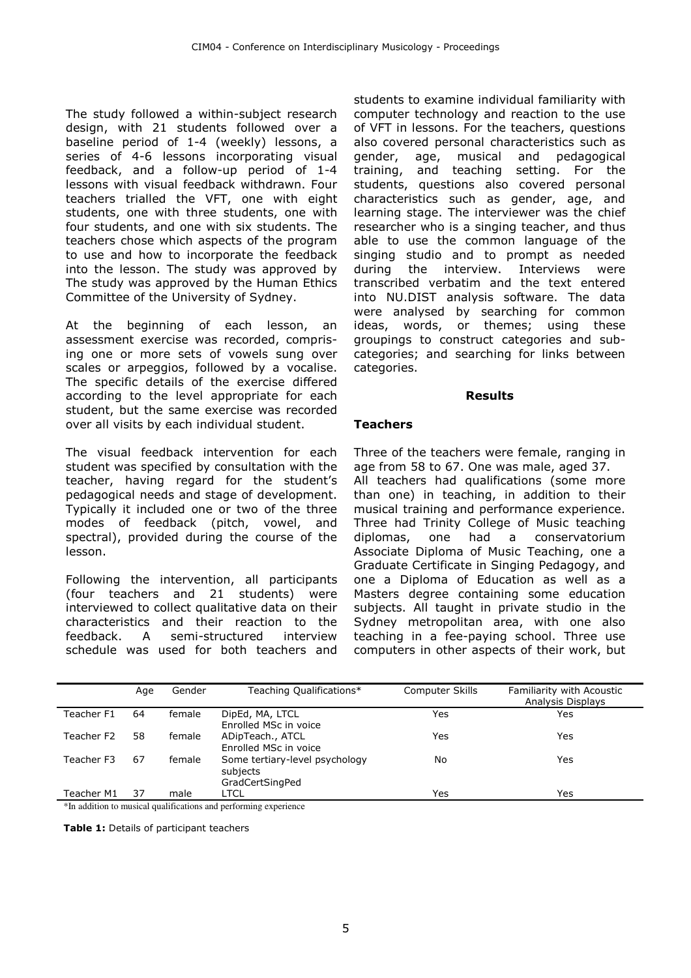The study followed a within-subject research design, with 21 students followed over a baseline period of 1-4 (weekly) lessons, a series of 4-6 lessons incorporating visual feedback, and a follow-up period of 1-4 lessons with visual feedback withdrawn. Four teachers trialled the VFT, one with eight students, one with three students, one with four students, and one with six students. The teachers chose which aspects of the program to use and how to incorporate the feedback into the lesson. The study was approved by The study was approved by the Human Ethics Committee of the University of Sydney.

At the beginning of each lesson, an assessment exercise was recorded, comprising one or more sets of vowels sung over scales or arpeggios, followed by a vocalise. The specific details of the exercise differed according to the level appropriate for each student, but the same exercise was recorded over all visits by each individual student.

The visual feedback intervention for each student was specified by consultation with the teacher, having regard for the student's pedagogical needs and stage of development. Typically it included one or two of the three modes of feedback (pitch, vowel, and spectral), provided during the course of the lesson.

Following the intervention, all participants (four teachers and 21 students) were interviewed to collect qualitative data on their characteristics and their reaction to the feedback. A semi-structured interview schedule was used for both teachers and

students to examine individual familiarity with computer technology and reaction to the use of VFT in lessons. For the teachers, questions also covered personal characteristics such as gender, age, musical and pedagogical training, and teaching setting. For the students, questions also covered personal characteristics such as gender, age, and learning stage. The interviewer was the chief researcher who is a singing teacher, and thus able to use the common language of the singing studio and to prompt as needed during the interview. Interviews were transcribed verbatim and the text entered into NU.DIST analysis software. The data were analysed by searching for common ideas, words, or themes; using these groupings to construct categories and subcategories; and searching for links between categories.

### Results

## **Teachers**

Three of the teachers were female, ranging in age from 58 to 67. One was male, aged 37. All teachers had qualifications (some more than one) in teaching, in addition to their musical training and performance experience. Three had Trinity College of Music teaching diplomas, one had a conservatorium Associate Diploma of Music Teaching, one a Graduate Certificate in Singing Pedagogy, and one a Diploma of Education as well as a Masters degree containing some education subjects. All taught in private studio in the Sydney metropolitan area, with one also teaching in a fee-paying school. Three use computers in other aspects of their work, but

|            | Age | Gender | Teaching Qualifications*                                      | Computer Skills | Familiarity with Acoustic<br>Analysis Displays |
|------------|-----|--------|---------------------------------------------------------------|-----------------|------------------------------------------------|
| Teacher F1 | 64  | female | DipEd, MA, LTCL<br>Enrolled MSc in voice                      | Yes             | Yes                                            |
| Teacher F2 | 58  | female | ADipTeach., ATCL<br>Enrolled MSc in voice                     | Yes             | Yes                                            |
| Teacher F3 | 67  | female | Some tertiary-level psychology<br>subjects<br>GradCertSingPed | No              | Yes                                            |
| Teacher M1 | 37  | male   | LTCL                                                          | Yes             | Yes                                            |

\*In addition to musical qualifications and performing experience

Table 1: Details of participant teachers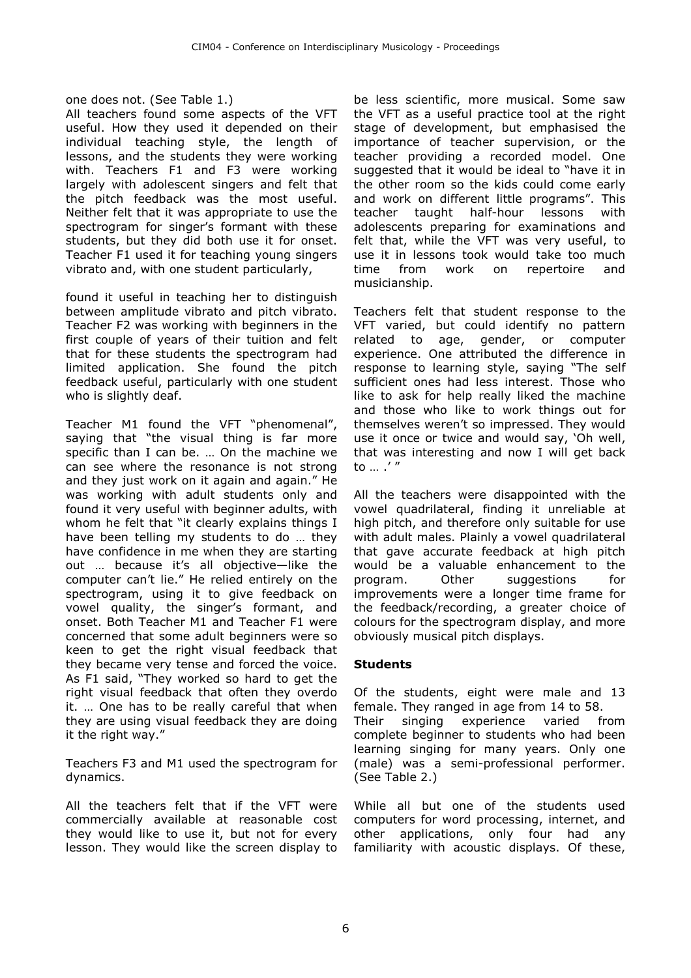## one does not. (See Table 1.)

All teachers found some aspects of the VFT useful. How they used it depended on their individual teaching style, the length of lessons, and the students they were working with. Teachers F1 and F3 were working largely with adolescent singers and felt that the pitch feedback was the most useful. Neither felt that it was appropriate to use the spectrogram for singer's formant with these students, but they did both use it for onset. Teacher F1 used it for teaching young singers vibrato and, with one student particularly,

found it useful in teaching her to distinguish between amplitude vibrato and pitch vibrato. Teacher F2 was working with beginners in the first couple of years of their tuition and felt that for these students the spectrogram had limited application. She found the pitch feedback useful, particularly with one student who is slightly deaf.

Teacher M1 found the VFT "phenomenal", saying that "the visual thing is far more specific than I can be. … On the machine we can see where the resonance is not strong and they just work on it again and again." He was working with adult students only and found it very useful with beginner adults, with whom he felt that "it clearly explains things I have been telling my students to do … they have confidence in me when they are starting out … because it's all objective—like the computer can't lie." He relied entirely on the spectrogram, using it to give feedback on vowel quality, the singer's formant, and onset. Both Teacher M1 and Teacher F1 were concerned that some adult beginners were so keen to get the right visual feedback that they became very tense and forced the voice. As F1 said, "They worked so hard to get the right visual feedback that often they overdo it. … One has to be really careful that when they are using visual feedback they are doing it the right way."

Teachers F3 and M1 used the spectrogram for dynamics.

All the teachers felt that if the VFT were commercially available at reasonable cost they would like to use it, but not for every lesson. They would like the screen display to

be less scientific, more musical. Some saw the VFT as a useful practice tool at the right stage of development, but emphasised the importance of teacher supervision, or the teacher providing a recorded model. One suggested that it would be ideal to "have it in the other room so the kids could come early and work on different little programs". This teacher taught half-hour lessons with adolescents preparing for examinations and felt that, while the VFT was very useful, to use it in lessons took would take too much time from work on repertoire and musicianship.

Teachers felt that student response to the VFT varied, but could identify no pattern related to age, gender, or computer experience. One attributed the difference in response to learning style, saying "The self sufficient ones had less interest. Those who like to ask for help really liked the machine and those who like to work things out for themselves weren't so impressed. They would use it once or twice and would say, 'Oh well, that was interesting and now I will get back  $\mathsf{to}$   $\mathsf{''}$ 

All the teachers were disappointed with the vowel quadrilateral, finding it unreliable at high pitch, and therefore only suitable for use with adult males. Plainly a vowel quadrilateral that gave accurate feedback at high pitch would be a valuable enhancement to the program. Other suggestions for improvements were a longer time frame for the feedback/recording, a greater choice of colours for the spectrogram display, and more obviously musical pitch displays.

## Students

Of the students, eight were male and 13 female. They ranged in age from 14 to 58. Their singing experience varied from complete beginner to students who had been learning singing for many years. Only one (male) was a semi-professional performer. (See Table 2.)

While all but one of the students used computers for word processing, internet, and other applications, only four had any familiarity with acoustic displays. Of these,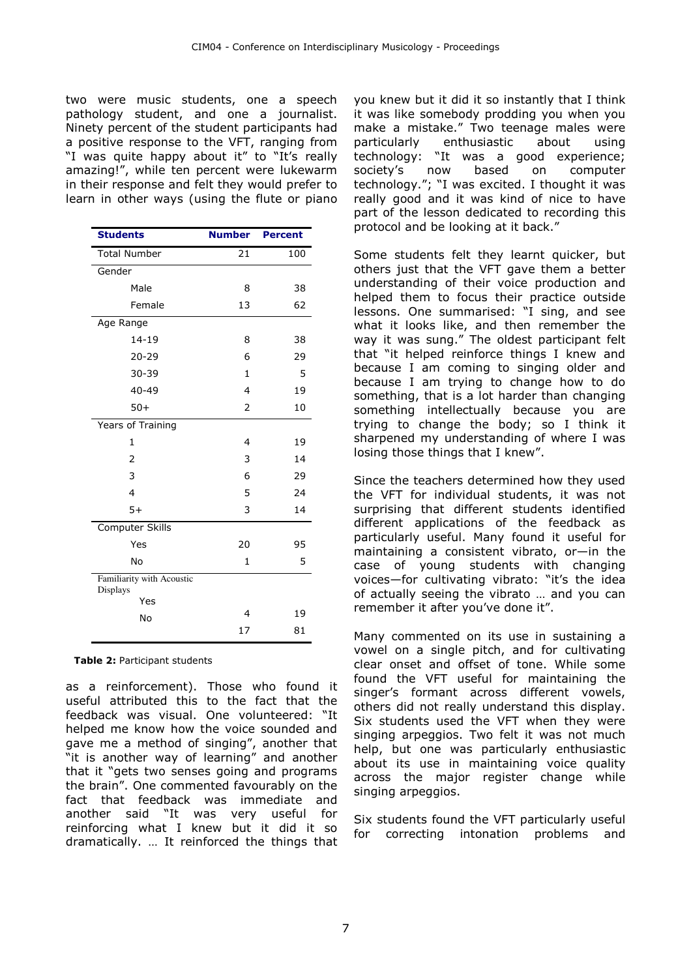two were music students, one a speech pathology student, and one a journalist. Ninety percent of the student participants had a positive response to the VFT, ranging from "I was quite happy about it" to "It's really amazing!", while ten percent were lukewarm in their response and felt they would prefer to learn in other ways (using the flute or piano

| <b>Students</b>                       | <b>Number</b> | <b>Percent</b> |
|---------------------------------------|---------------|----------------|
| <b>Total Number</b>                   | 21            | 100            |
| Gender                                |               |                |
| Male                                  | 8             | 38             |
| Female                                | 13            | 62             |
| Age Range                             |               |                |
| $14 - 19$                             | 8             | 38             |
| $20 - 29$                             | 6             | 29             |
| 30-39                                 | $\mathbf{1}$  | 5              |
| 40-49                                 | 4             | 19             |
| $50+$                                 | 2             | 10             |
| Years of Training                     |               |                |
| $\mathbf{1}$                          | 4             | 19             |
| 2                                     | 3             | 14             |
| 3                                     | 6             | 29             |
| $\overline{4}$                        | 5             | 24             |
| $5+$                                  | 3             | 14             |
| Computer Skills                       |               |                |
| Yes                                   | 20            | 95             |
| No                                    | 1             | 5              |
| Familiarity with Acoustic<br>Displays |               |                |
| Yes                                   | 4             |                |
| No                                    |               | 19             |
|                                       | 17            | 81             |

Table 2: Participant students

as a reinforcement). Those who found it useful attributed this to the fact that the feedback was visual. One volunteered: "It helped me know how the voice sounded and gave me a method of singing", another that "it is another way of learning" and another that it "gets two senses going and programs the brain". One commented favourably on the fact that feedback was immediate and another said "It was very useful for reinforcing what I knew but it did it so dramatically. … It reinforced the things that

you knew but it did it so instantly that I think it was like somebody prodding you when you make a mistake." Two teenage males were particularly enthusiastic about using technology: "It was a good experience; society's now based on computer technology."; "I was excited. I thought it was really good and it was kind of nice to have part of the lesson dedicated to recording this protocol and be looking at it back."

Some students felt they learnt quicker, but others just that the VFT gave them a better understanding of their voice production and helped them to focus their practice outside lessons. One summarised: "I sing, and see what it looks like, and then remember the way it was sung." The oldest participant felt that "it helped reinforce things I knew and because I am coming to singing older and because I am trying to change how to do something, that is a lot harder than changing something intellectually because you are trying to change the body; so I think it sharpened my understanding of where I was losing those things that I knew".

Since the teachers determined how they used the VFT for individual students, it was not surprising that different students identified different applications of the feedback as particularly useful. Many found it useful for maintaining a consistent vibrato, or—in the case of young students with changing voices—for cultivating vibrato: "it's the idea of actually seeing the vibrato … and you can remember it after you've done it".

Many commented on its use in sustaining a vowel on a single pitch, and for cultivating clear onset and offset of tone. While some found the VFT useful for maintaining the singer's formant across different vowels, others did not really understand this display. Six students used the VFT when they were singing arpeggios. Two felt it was not much help, but one was particularly enthusiastic about its use in maintaining voice quality across the major register change while singing arpeggios.

Six students found the VFT particularly useful for correcting intonation problems and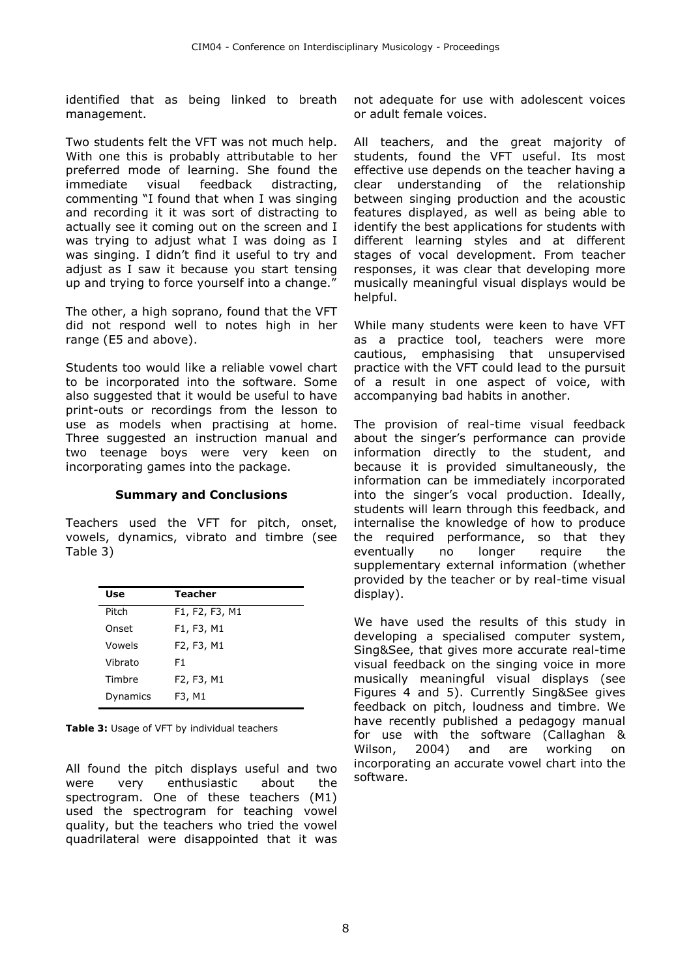identified that as being linked to breath management.

Two students felt the VFT was not much help. With one this is probably attributable to her preferred mode of learning. She found the immediate visual feedback distracting, commenting "I found that when I was singing and recording it it was sort of distracting to actually see it coming out on the screen and I was trying to adjust what I was doing as I was singing. I didn't find it useful to try and adjust as I saw it because you start tensing up and trying to force yourself into a change."

The other, a high soprano, found that the VFT did not respond well to notes high in her range (E5 and above).

Students too would like a reliable vowel chart to be incorporated into the software. Some also suggested that it would be useful to have print-outs or recordings from the lesson to use as models when practising at home. Three suggested an instruction manual and two teenage boys were very keen on incorporating games into the package.

## Summary and Conclusions

Teachers used the VFT for pitch, onset, vowels, dynamics, vibrato and timbre (see Table 3)

| Use      | <b>Teacher</b> |
|----------|----------------|
| Pitch    | F1, F2, F3, M1 |
| Onset    | F1, F3, M1     |
| Vowels   | F2, F3, M1     |
| Vibrato  | F1             |
| Timbre   | F2, F3, M1     |
| Dynamics | F3, M1         |

Table 3: Usage of VFT by individual teachers

All found the pitch displays useful and two were very enthusiastic about the spectrogram. One of these teachers (M1) used the spectrogram for teaching vowel quality, but the teachers who tried the vowel quadrilateral were disappointed that it was

not adequate for use with adolescent voices or adult female voices.

All teachers, and the great majority of students, found the VFT useful. Its most effective use depends on the teacher having a clear understanding of the relationship between singing production and the acoustic features displayed, as well as being able to identify the best applications for students with different learning styles and at different stages of vocal development. From teacher responses, it was clear that developing more musically meaningful visual displays would be helpful.

While many students were keen to have VFT as a practice tool, teachers were more cautious, emphasising that unsupervised practice with the VFT could lead to the pursuit of a result in one aspect of voice, with accompanying bad habits in another.

The provision of real-time visual feedback about the singer's performance can provide information directly to the student, and because it is provided simultaneously, the information can be immediately incorporated into the singer's vocal production. Ideally, students will learn through this feedback, and internalise the knowledge of how to produce the required performance, so that they eventually no longer require the supplementary external information (whether provided by the teacher or by real-time visual display).

We have used the results of this study in developing a specialised computer system, Sing&See, that gives more accurate real-time visual feedback on the singing voice in more musically meaningful visual displays (see Figures 4 and 5). Currently Sing&See gives feedback on pitch, loudness and timbre. We have recently published a pedagogy manual for use with the software (Callaghan & Wilson, 2004) and are working on incorporating an accurate vowel chart into the software.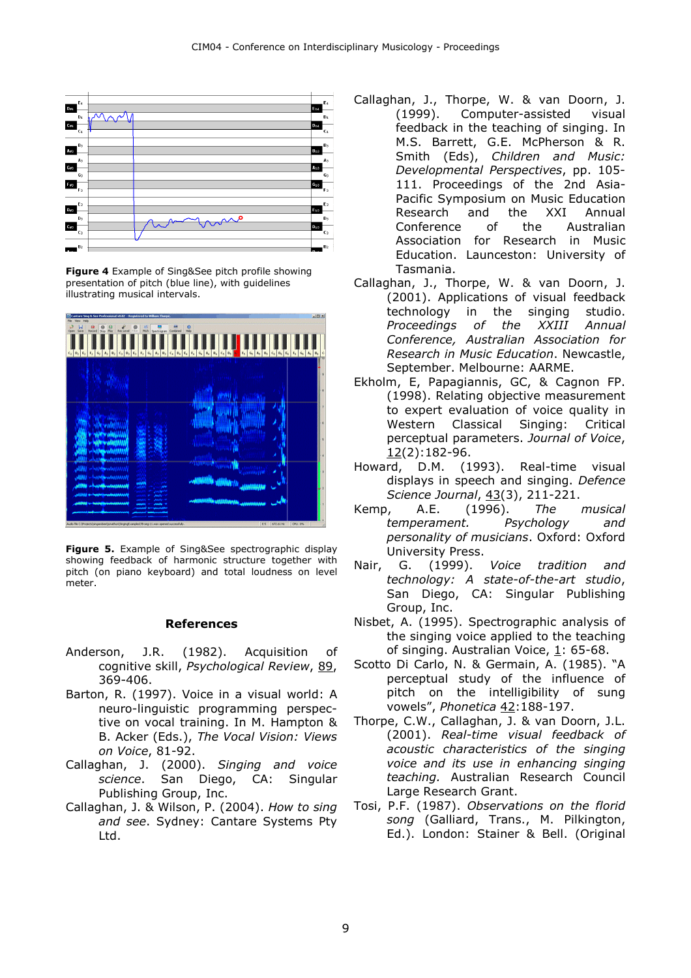

Figure 4 Example of Sing&See pitch profile showing presentation of pitch (blue line), with guidelines illustrating musical intervals.



Figure 5. Example of Sing&See spectrographic display showing feedback of harmonic structure together with pitch (on piano keyboard) and total loudness on level meter.

#### References

- Anderson, J.R. (1982). Acquisition of cognitive skill, Psychological Review, 89, 369-406.
- Barton, R. (1997). Voice in a visual world: A neuro-linguistic programming perspective on vocal training. In M. Hampton & B. Acker (Eds.), The Vocal Vision: Views on Voice, 81-92.
- Callaghan, J. (2000). Singing and voice science. San Diego, CA: Singular Publishing Group, Inc.
- Callaghan, J. & Wilson, P. (2004). How to sing and see. Sydney: Cantare Systems Pty Ltd.
- Callaghan, J., Thorpe, W. & van Doorn, J. (1999). Computer-assisted visual feedback in the teaching of singing. In M.S. Barrett, G.E. McPherson & R. Smith (Eds), Children and Music: Developmental Perspectives, pp. 105- 111. Proceedings of the 2nd Asia-Pacific Symposium on Music Education Research and the XXI Annual Conference of the Australian Association for Research in Music Education. Launceston: University of Tasmania.
- Callaghan, J., Thorpe, W. & van Doorn, J. (2001). Applications of visual feedback technology in the singing studio. Proceedings of the XXIII Annual Conference, Australian Association for Research in Music Education. Newcastle, September. Melbourne: AARME.
- Ekholm, E, Papagiannis, GC, & Cagnon FP. (1998). Relating objective measurement to expert evaluation of voice quality in Western Classical Singing: Critical perceptual parameters. Journal of Voice,  $12(2):182-96.$
- Howard, D.M. (1993). Real-time visual displays in speech and singing. Defence Science Journal, 43(3), 211-221.
- Kemp, A.E. (1996). The musical temperament. Psychology and personality of musicians. Oxford: Oxford University Press.
- Nair, G. (1999). Voice tradition and technology: A state-of-the-art studio, San Diego, CA: Singular Publishing Group, Inc.
- Nisbet, A. (1995). Spectrographic analysis of the singing voice applied to the teaching of singing. Australian Voice, 1: 65-68.
- Scotto Di Carlo, N. & Germain, A. (1985). "A perceptual study of the influence of pitch on the intelligibility of sung vowels", Phonetica 42:188-197.
- Thorpe, C.W., Callaghan, J. & van Doorn, J.L. (2001). Real-time visual feedback of acoustic characteristics of the singing voice and its use in enhancing singing teaching. Australian Research Council Large Research Grant.
- Tosi, P.F. (1987). Observations on the florid song (Galliard, Trans., M. Pilkington, Ed.). London: Stainer & Bell. (Original